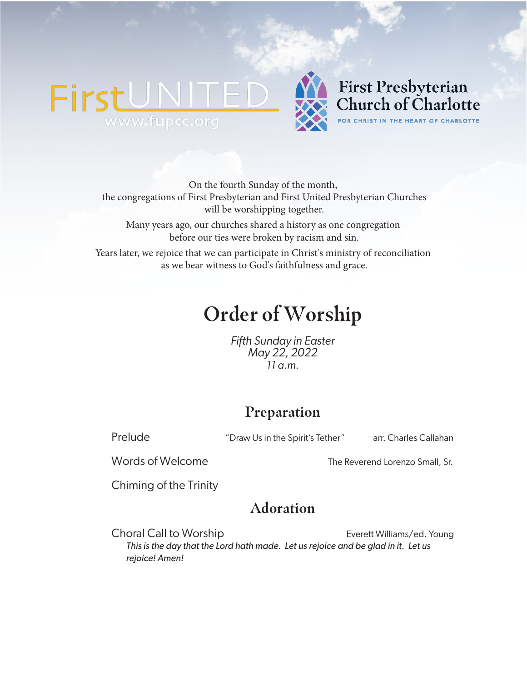## **FirstUNI** TED www.fupcc.org



## **First Presbyterian** Church of Charlotte FOR CHRIST IN THE HEART OF CHARLOTTE

On the fourth Sunday of the month, the congregations of First Presbyterian and First United Presbyterian Churches will be worshipping together.

Many years ago, our churches shared a history as one congregation before our ties were broken by racism and sin.

Years later, we rejoice that we can participate in Christ's ministry of reconciliation as we bear witness to God's faithfulness and grace.

# **Order of Worship**

*Fifth Sunday in Easter May 22, 2022 11 a.m.*

## **Preparation**

Prelude **The Contract of Charlo 1** "Draw Us in the Spirit's Tether" arr. Charles Callahan

Words of Welcome The Reverend Lorenzo Small, Sr.

Chiming of the Trinity

## **Adoration**

Choral Call to Worship Everett Williams/ed. Young *This is the day that the Lord hath made. Let us rejoice and be glad in it. Let us rejoice! Amen!*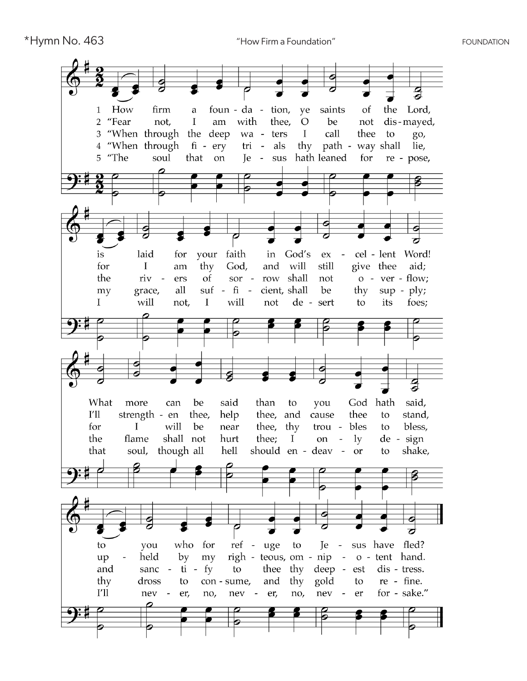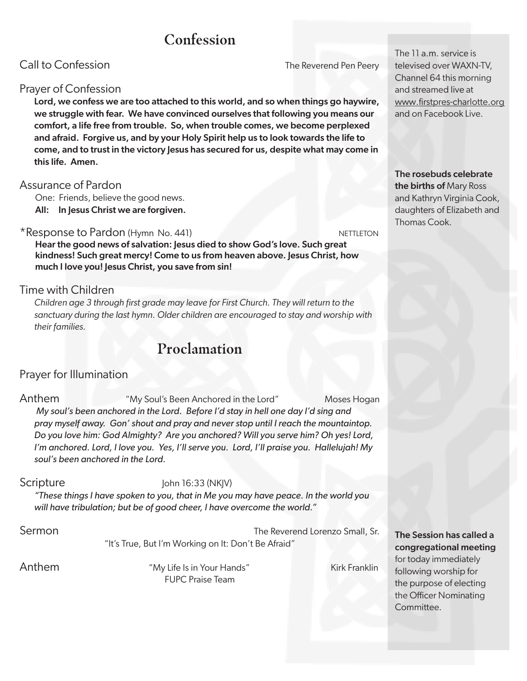## **Confession**

Call to Confession **The Reverend Pen Peery** 

## Prayer of Confession

Lord, we confess we are too attached to this world, and so when things go haywire, we struggle with fear. We have convinced ourselves that following you means our comfort, a life free from trouble. So, when trouble comes, we become perplexed and afraid. Forgive us, and by your Holy Spirit help us to look towards the life to come, and to trust in the victory Jesus has secured for us, despite what may come in this life. Amen.

#### Assurance of Pardon

One: Friends, believe the good news. All: In Jesus Christ we are forgiven.

#### \*Response to Pardon (Hymn No. 441) NETTLETON

Hear the good news of salvation: Jesus died to show God's love. Such great kindness! Such great mercy! Come to us from heaven above. Jesus Christ, how much I love you! Jesus Christ, you save from sin!

## Time with Children

*Children age 3 through first grade may leave for First Church. They will return to the sanctuary during the last hymn. Older children are encouraged to stay and worship with their families.* 

## **Proclamation**

## Prayer for Illumination

Anthem "My Soul's Been Anchored in the Lord" Moses Hogan *My soul's been anchored in the Lord. Before I'd stay in hell one day I'd sing and pray myself away. Gon' shout and pray and never stop until I reach the mountaintop. Do you love him: God Almighty? Are you anchored? Will you serve him? Oh yes! Lord, I'm anchored. Lord, I love you. Yes, I'll serve you. Lord, I'll praise you. Hallelujah! My soul's been anchored in the Lord.*

#### Scripture John 16:33 (NKJV)

*"These things I have spoken to you, that in Me you may have peace. In the world you will have tribulation; but be of good cheer, I have overcome the world."*

Sermon The Reverend Lorenzo Small, Sr. "It's True, But I'm Working on It: Don't Be Afraid"

Anthem The My Life Is in Your Hands" Kirk Franklin FUPC Praise Team

#### The 11 a.m. service is televised over WAXN-TV, Channel 64 this morning and streamed live at www.firstpres-charlotte.org and on Facebook Live.

The rosebuds celebrate the births of Mary Ross and Kathryn Virginia Cook, daughters of Elizabeth and Thomas Cook.

#### The Session has called a congregational meeting

for today immediately following worship for the purpose of electing the Officer Nominating Committee.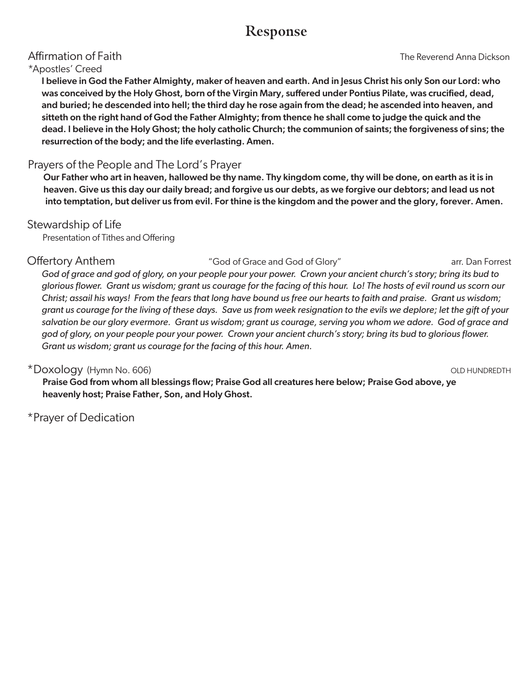## **Response**

#### \*Apostles' Creed

I believe in God the Father Almighty, maker of heaven and earth. And in Jesus Christ his only Son our Lord: who was conceived by the Holy Ghost, born of the Virgin Mary, suffered under Pontius Pilate, was crucified, dead, and buried; he descended into hell; the third day he rose again from the dead; he ascended into heaven, and sitteth on the right hand of God the Father Almighty; from thence he shall come to judge the quick and the dead. I believe in the Holy Ghost; the holy catholic Church; the communion of saints; the forgiveness of sins; the resurrection of the body; and the life everlasting. Amen.

## Prayers of the People and The Lord's Prayer

Our Father who art in heaven, hallowed be thy name. Thy kingdom come, thy will be done, on earth as it is in heaven. Give us this day our daily bread; and forgive us our debts, as we forgive our debtors; and lead us not into temptation, but deliver us from evil. For thine is the kingdom and the power and the glory, forever. Amen.

#### Stewardship of Life

Presentation of Tithes and Offering

## Offertory Anthem  $^{''}$ God of Grace and God of Glory" arr. Dan Forrest

*God of grace and god of glory, on your people pour your power. Crown your ancient church's story; bring its bud to glorious flower. Grant us wisdom; grant us courage for the facing of this hour. Lo! The hosts of evil round us scorn our Christ; assail his ways! From the fears that long have bound us free our hearts to faith and praise. Grant us wisdom; grant us courage for the living of these days. Save us from week resignation to the evils we deplore; let the gift of your*  salvation be our glory evermore. Grant us wisdom; grant us courage, serving you whom we adore. God of grace and *god of glory, on your people pour your power. Crown your ancient church's story; bring its bud to glorious flower. Grant us wisdom; grant us courage for the facing of this hour. Amen.* 

## \*Doxology (Hymn No. 606) **OLD HUNDREDTH**

Praise God from whom all blessings flow; Praise God all creatures here below; Praise God above, ye heavenly host; Praise Father, Son, and Holy Ghost.

\*Prayer of Dedication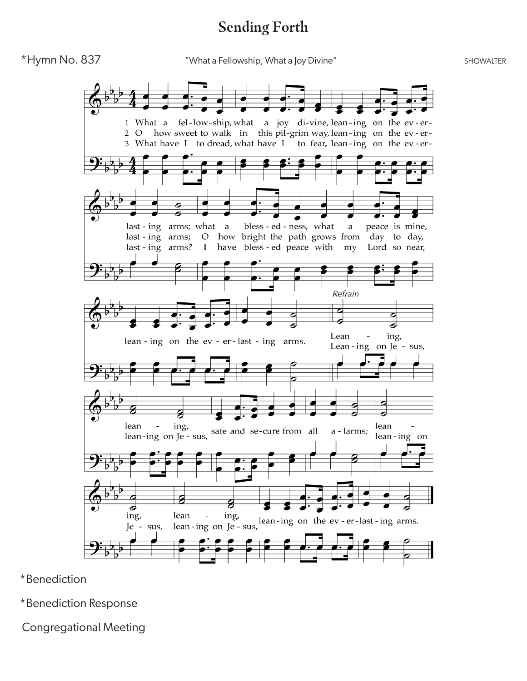## **Sending Forth**



\*Benediction

\*Benediction Response

Congregational Meeting